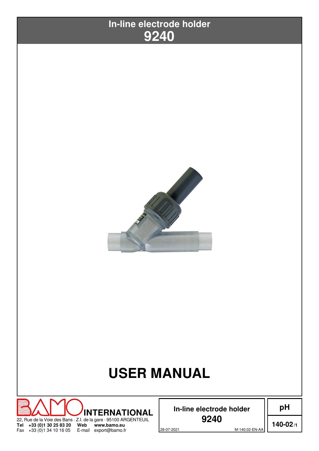



# **USER MANUAL**



**In-line electrode holder**

**140-02/1**

**pH**

28-07-2021 M-140.02-EN-AA